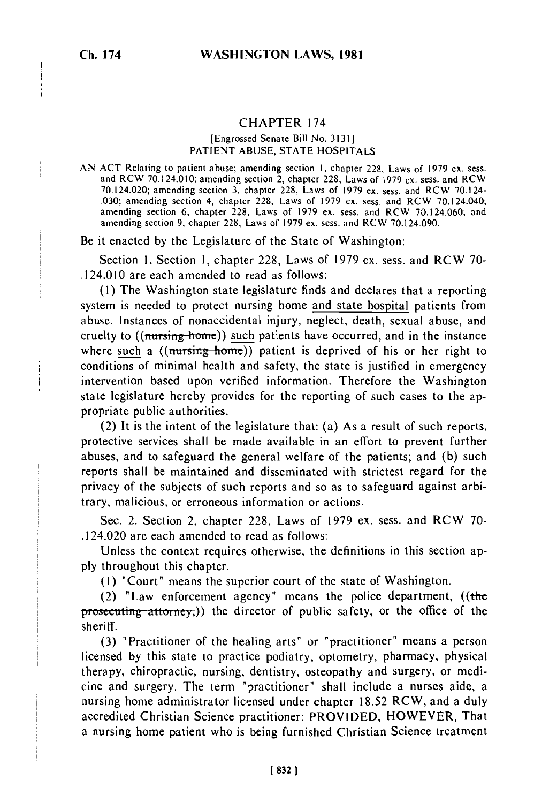## CHAPTER <sup>174</sup>

## [Engrossed Senate Bill No. 3131] PATIENT ABUSE, STATE HOSPITALS

AN ACT Relating to patient abuse; amending section 1, chapter 228, Laws of 1979 ex. sess. and RCW 70.124.010; amending section 2, chapter 228, Laws of 1979 ex. sess. and RCW 70.124.020; amending section **3,** chapter 228, Laws of 1979 ex. sess. and RCW 70.124- .030; amending section 4, chapter 228, Laws of 1979 ex. sess. and RCW 70.124.040; 0.030; amending section 4, chapter 228, Laws of 1979 ex. sess. and RCW 70.124.040. amending section 9, chapter 228, Laws of 1979 ex. sess. and RCW 70.124.090.

Be it enacted by the Legislature of the State of Washington:

Section 1. Section 1, chapter 228, Laws of 1979 ex. sess. and RCW 70- .124.010 are each amended to read as follows:

**(1)** The Washington state legislature finds and declares that a reporting system is needed to protect nursing home and state hospital patients from abuse. Instances of nonaccidental injury, neglect, death, sexual abuse, and cruelty to  $((\text{turning home}))$  such patients have occurred, and in the instance where such a  $((\text{rursing home}))$  patient is deprived of his or her right to conditions of minimal health and safety, the state is justified in emergency intervention based upon verified information. Therefore the Washington state legislature hereby provides for the reporting of such cases to the appropriate public authorities.

(2) It is the intent of the legislature that: (a) As a result of such reports, protective services shall be made available in an effort to prevent further abuses, and to safeguard the general welfare of the patients; and (b) such reports shall be maintained and disseminated with strictest regard for the privacy of the subjects of such reports and so as to safeguard against arbitrary, malicious, or erroneous information or actions.

Sec. 2. Section 2, chapter 228, Laws of 1979 ex. sess. and RCW 70- .124.020 are each amended to read as follows:

Unless the context requires otherwise, the definitions in this section apply throughout this chapter.

**(1)** "Court" means the superior court of the state of Washington.

(2) "Law enforcement agency" means the police department, ((the **prosecuting attorney,))** the director of public safety, or the office of the sheriff.

(3) "Practitioner of the healing arts" or "practitioner" means a person licensed by this state to practice podiatry, optometry, pharmacy, physical therapy, chiropractic, nursing, dentistry, osteopathy and surgery, or medicine and surgery. The term "practitioner" shall include a nurses aide, a nursing home administrator licensed under chapter 18.52 RCW, and a duly accredited Christian Science practitioner: PROVIDED, HOWEVER, That a nursing home patient who is being furnished Christian Science treatment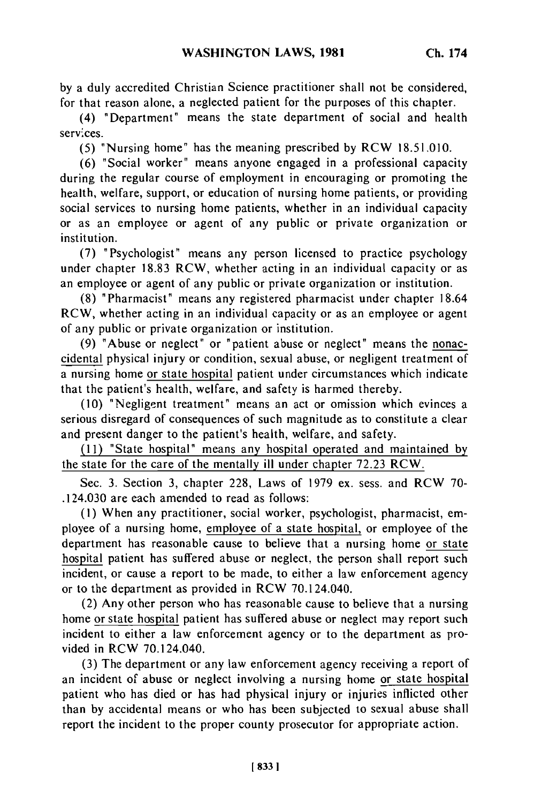by a duly accredited Christian Science practitioner shall not be considered, for that reason alone, a neglected patient for the purposes of this chapter.

(4) "Department" means the state department of social and health serv:ces.

(5) "Nursing home" has the meaning prescribed by RCW 18.51.010.

(6) "Social worker" means anyone engaged in a professional capacity during the regular course of employment in encouraging or promoting the health, welfare, support, or education of nursing home patients, or providing social services to nursing home patients, whether in an individual capacity or as an employee or agent of any public or private organization or institution.

(7) "Psychologist" means any person licensed to practice psychology under chapter 18.83 RCW, whether acting in an individual capacity or as an employee or agent of any public or private organization or institution.

(8) "Pharmacist" means any registered pharmacist under chapter 18.64 RCW, whether acting in an individual capacity or as an employee or agent of any public or private organization or institution.

(9) "Abuse or neglect" or "patient abuse or neglect" means the nonaccidental physical injury or condition, sexual abuse, or negligent treatment of a nursing home or state hospital patient under circumstances which indicate that the patient's health, welfare, and safety is harmed thereby.

(10) "Negligent treatment" means an act or omission which evinces a serious disregard of consequences of such magnitude as to constitute a clear and present danger to the patient's health, welfare, and safety.

(11) "State hospital" means any hospital operated and maintained by the state for the care of the mentally ill under chapter 72.23 RCW.

Sec. 3. Section 3, chapter 228, Laws of 1979 ex. sess. and RCW 70- .124.030 are each amended to read as follows:

**(1)** When any practitioner, social worker, psychologist, pharmacist, employee of a nursing home, employee of a state hospital, or employee of the department has reasonable cause to believe that a nursing home or state hospital patient has suffered abuse or neglect, the person shall report such incident, or cause a report to be made, to either a law enforcement agency or to the department as provided in RCW 70.124.040.

(2) Any other person who has reasonable cause to believe that a nursing home or state hospital patient has suffered abuse or neglect may report such incident to either a law enforcement agency or to the department as provided in RCW 70.124.040.

(3) The department or any law enforcement agency receiving a report of an incident of abuse or neglect involving a nursing home or state hospital patient who has died or has had physical injury or injuries inflicted other than by accidental means or who has been subjected to sexual abuse shall report the incident to the proper county prosecutor for appropriate action.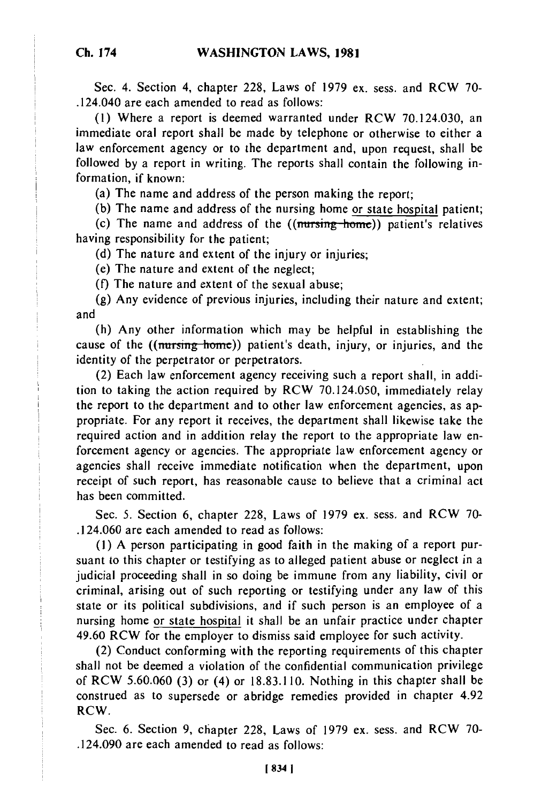**Ch. 174**

Sec. 4. Section 4, chapter 228, Laws of 1979 ex. sess. and RCW **70-** .124.040 are each amended to read as follows:

(1) Where a report is deemed warranted under RCW 70.124.030, an immediate oral report shall be made by telephone or otherwise to either a law enforcement agency or to the department and, upon request, shall be followed by a report in writing. The reports shall contain the following information, if known:

(a) The name and address of the person making the report;

(b) The name and address of the nursing home or state hospital patient;

(c) The name and address of the  $((\text{mursing}+\text{home}))$  patient's relatives having responsibility for the patient;

(d) The nature and extent of the injury or injuries;

(e) The nature and extent of the neglect;

(f) The nature and extent of the sexual abuse;

(g) Any evidence of previous injuries, including their nature and extent; and

(h) Any other information which may be helpful in establishing the cause of the  $((\text{mursing home}))$  patient's death, injury, or injuries, and the identity of the perpetrator or perpetrators.

(2) Each law enforcement agency receiving such a report shall, in addition to taking the action required by RCW 70.124.050, immediately relay the report to the department and to other law enforcement agencies, as appropriate. For any report it receives, the department shall likewise take the required action and in addition relay the report to the appropriate law enforcement agency or agencies. The appropriate law enforcement agency or agencies shall receive immediate notification when the department, upon receipt of such report, has reasonable cause to believe that a criminal act has been committed.

Sec. 5. Section 6, chapter 228, Laws of 1979 ex. sess. and RCW **70-** .124.060 are each amended to read as follows:

(1) A person participating in good faith in the making of a report pursuant to this chapter or testifying as to alleged patient abuse or neglect in a judicial proceeding shall in so doing be immune from any liability, civil or criminal, arising out of such reporting or testifying under any law of this state or its political subdivisions, and if such person is an employee of a nursing home or state hospital it shall be an unfair practice under chapter 49.60 RCW for the employer to dismiss said employee for such activity.

(2) Conduct conforming with the reporting requirements of this chapter shall not be deemed a violation of the confidential communication privilege of RCW 5.60.060 (3) or (4) or 18.83.110. Nothing in this chapter shall be construed as to supersede or abridge remedies provided in chapter 4.92 RCW.

Sec. 6. Section 9, chapter 228, Laws of 1979 ex. sess. and RCW **70-** .124.090 are each amended to read as follows: